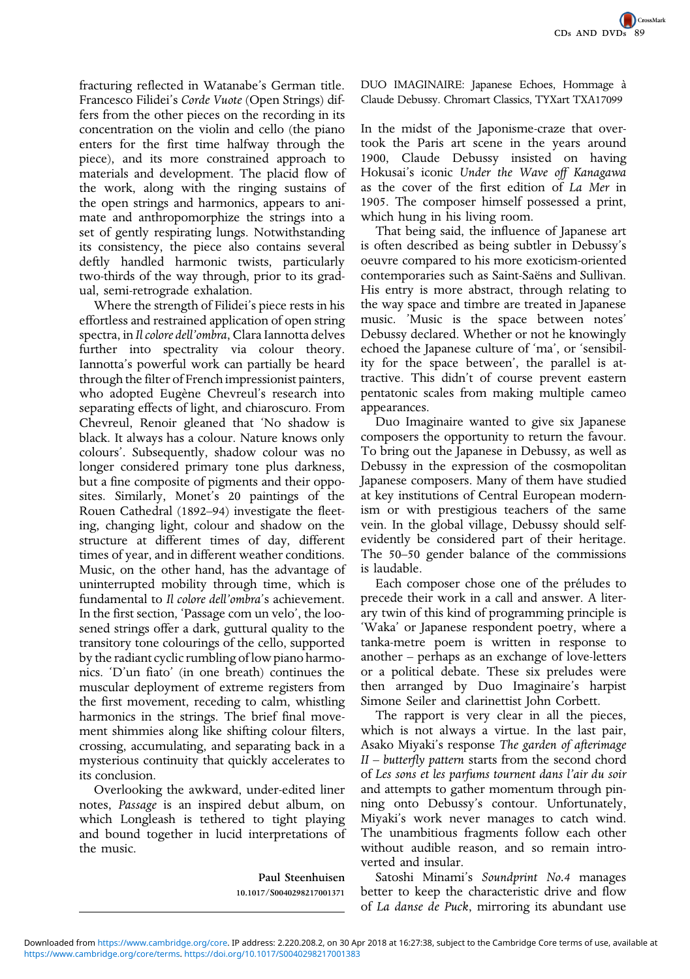fracturing reflected in Watanabe's German title. Francesco Filidei's Corde Vuote (Open Strings) differs from the other pieces on the recording in its concentration on the violin and cello (the piano enters for the first time halfway through the piece), and its more constrained approach to materials and development. The placid flow of the work, along with the ringing sustains of the open strings and harmonics, appears to animate and anthropomorphize the strings into a set of gently respirating lungs. Notwithstanding its consistency, the piece also contains several deftly handled harmonic twists, particularly two-thirds of the way through, prior to its gradual, semi-retrograde exhalation.

Where the strength of Filidei's piece rests in his effortless and restrained application of open string spectra, in Il colore dell'ombra, Clara Iannotta delves further into spectrality via colour theory. Iannotta's powerful work can partially be heard through the filter of French impressionist painters, who adopted Eugène Chevreul's research into separating effects of light, and chiaroscuro. From Chevreul, Renoir gleaned that 'No shadow is black. It always has a colour. Nature knows only colours'. Subsequently, shadow colour was no longer considered primary tone plus darkness, but a fine composite of pigments and their opposites. Similarly, Monet's 20 paintings of the Rouen Cathedral (1892–94) investigate the fleeting, changing light, colour and shadow on the structure at different times of day, different times of year, and in different weather conditions. Music, on the other hand, has the advantage of uninterrupted mobility through time, which is fundamental to Il colore dell'ombra's achievement. In the first section, 'Passage com un velo', the loosened strings offer a dark, guttural quality to the transitory tone colourings of the cello, supported by the radiant cyclic rumbling of low piano harmonics. 'D'un fiato' (in one breath) continues the muscular deployment of extreme registers from the first movement, receding to calm, whistling harmonics in the strings. The brief final movement shimmies along like shifting colour filters, crossing, accumulating, and separating back in a mysterious continuity that quickly accelerates to its conclusion.

Overlooking the awkward, under-edited liner notes, Passage is an inspired debut album, on which Longleash is tethered to tight playing and bound together in lucid interpretations of the music.

> Paul Steenhuisen 10.1017/S0040298217001371

DUO IMAGINAIRE: Japanese Echoes, Hommage à Claude Debussy. Chromart Classics, TYXart TXA17099

In the midst of the Japonisme-craze that overtook the Paris art scene in the years around 1900, Claude Debussy insisted on having Hokusai's iconic Under the Wave off Kanagawa as the cover of the first edition of La Mer in 1905. The composer himself possessed a print, which hung in his living room.

That being said, the influence of Japanese art is often described as being subtler in Debussy's oeuvre compared to his more exoticism-oriented contemporaries such as Saint-Saëns and Sullivan. His entry is more abstract, through relating to the way space and timbre are treated in Japanese music. 'Music is the space between notes' Debussy declared. Whether or not he knowingly echoed the Japanese culture of 'ma', or 'sensibility for the space between', the parallel is attractive. This didn't of course prevent eastern pentatonic scales from making multiple cameo appearances.

Duo Imaginaire wanted to give six Japanese composers the opportunity to return the favour. To bring out the Japanese in Debussy, as well as Debussy in the expression of the cosmopolitan Japanese composers. Many of them have studied at key institutions of Central European modernism or with prestigious teachers of the same vein. In the global village, Debussy should selfevidently be considered part of their heritage. The 50–50 gender balance of the commissions is laudable.

Each composer chose one of the préludes to precede their work in a call and answer. A literary twin of this kind of programming principle is 'Waka' or Japanese respondent poetry, where a tanka-metre poem is written in response to another – perhaps as an exchange of love-letters or a political debate. These six preludes were then arranged by Duo Imaginaire's harpist Simone Seiler and clarinettist John Corbett.

The rapport is very clear in all the pieces, which is not always a virtue. In the last pair, Asako Miyaki's response The garden of afterimage II – butterfly pattern starts from the second chord of Les sons et les parfums tournent dans l'air du soir and attempts to gather momentum through pinning onto Debussy's contour. Unfortunately, Miyaki's work never manages to catch wind. The unambitious fragments follow each other without audible reason, and so remain introverted and insular.

Satoshi Minami's Soundprint No.4 manages better to keep the characteristic drive and flow of La danse de Puck, mirroring its abundant use

[https://www.cambridge.org/core/terms.](https://www.cambridge.org/core/terms) <https://doi.org/10.1017/S0040298217001383> Downloaded from [https://www.cambridge.org/core.](https://www.cambridge.org/core) IP address: 2.220.208.2, on 30 Apr 2018 at 16:27:38, subject to the Cambridge Core terms of use, available at